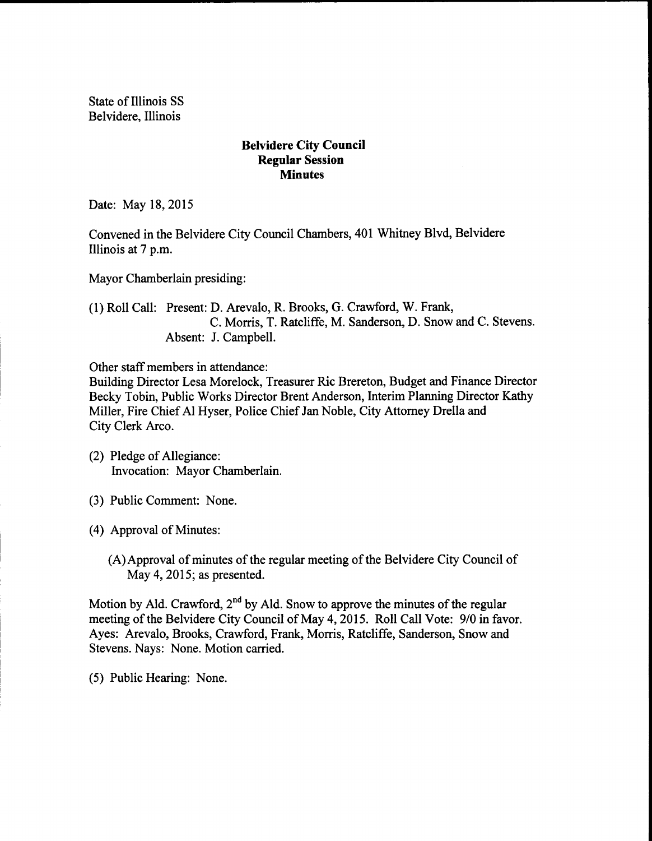State of Illinois SS Belvidere, Illinois

## Belvidere City Council Regular Session **Minutes**

Date: May 18, 2015

Convened in the Belvidere City Council Chambers, 401 Whitney Blvd, Belvidere Illinois at 7 p.m.

Mayor Chamberlain presiding:

1) Roll Call: Present: D. Arevalo, R. Brooks, G. Crawford, W. Frank, C. Morris, T. Ratcliffe, M. Sanderson, D. Snow and C. Stevens. Absent: J. Campbell.

Other staff members in attendance:

Building Director Lesa Morelock, Treasurer Ric Brereton, Budget and Finance Director Becky Tobin, Public Works Director Brent Anderson, Interim Planning Director Kathy Miller, Fire Chief Al Hyser, Police Chief Jan Noble, City Attorney Drella and City Clerk Arco.

- (2) Pledge of Allegiance: Invocation: Mayor Chamberlain.
- 3) Public Comment: None.

4) Approval of Minutes:

(A) Approval of minutes of the regular meeting of the Belvidere City Council of May 4, 2015; as presented.

Motion by Ald. Crawford, 2<sup>nd</sup> by Ald. Snow to approve the minutes of the regular meeting of the Belvidere City Council of May 4, 2015. Roll Call Vote: 9/0 in favor. Ayes: Arevalo, Brooks, Crawford, Frank, Morris, Ratcliffe, Sanderson, Snow and Stevens. Nays: None. Motion carried.

5) Public Hearing: None.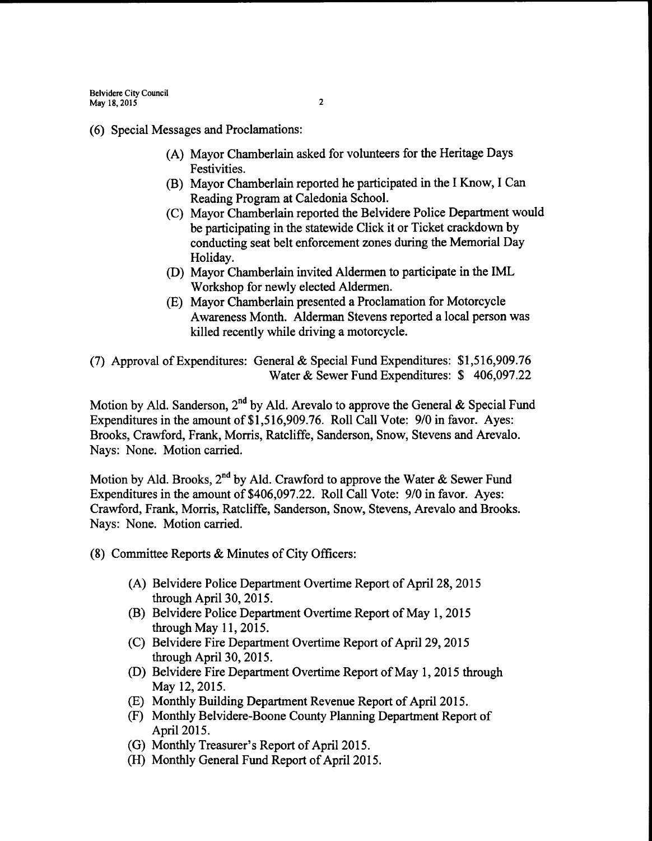6) Special Messages and Proclamations:

- A) Mayor Chamberlain asked for volunteers for the Heritage Days Festivities.
- B) Mayor Chamberlain reported he participated in the I Know, I Can Reading Program at Caledonia School.
- C) Mayor Chamberlain reported the Belvidere Police Department would be participating in the statewide Click it or Ticket crackdown by conducting seat belt enforcement zones during the Memorial Day Holiday.
- D) Mayor Chamberlain invited Aldermen to participate in the IML Workshop for newly elected Aldermen.
- E) Mayor Chamberlain presented a Proclamation for Motorcycle Awareness Month. Alderman Stevens reported a local person was killed recently while driving a motorcycle.

7) Approval ofExpenditures: General& Special Fund Expenditures: \$ 1, 516,909.76 Water & Sewer Fund Expenditures: \$406,097.22

Motion by Ald. Sanderson,  $2^{nd}$  by Ald. Arevalo to approve the General & Special Fund Expenditures in the amount of \$1,516,909.76. Roll Call Vote: 9/0 in favor. Ayes: Brooks, Crawford, Frank, Morris, Ratcliffe, Sanderson, Snow, Stevens and Arevalo. Nays: None. Motion carried.

Motion by Ald. Brooks, 2<sup>nd</sup> by Ald. Crawford to approve the Water & Sewer Fund Expenditures in the amount of \$406,097.22. Roll Call Vote: 9/0 in favor. Ayes: Crawford, Frank, Morris, Ratcliffe, Sanderson, Snow, Stevens, Arevalo and Brooks. Nays: None. Motion carried.

- 8) Committee Reports& Minutes of City Officers:
	- A) Belvidere Police Department Overtime Report of April 28, 2015 through April 30, 2015.
	- B) Belvidere Police Department Overtime Report of May 1, 2015 through May 11, 2015.
	- (C) Belvidere Fire Department Overtime Report of April 29, 2015 through April 30, 2015.
	- D) Belvidere Fire Department Overtime Report of May 1, 2015 through May 12, 2015.
	- (E) Monthly Building Department Revenue Report of April 2015.
	- F) Monthly Belvidere-Boone County Planning Department Report of April 2015.
	- (G) Monthly Treasurer's Report of April 2015.
	- (H) Monthly General Fund Report of April 2015.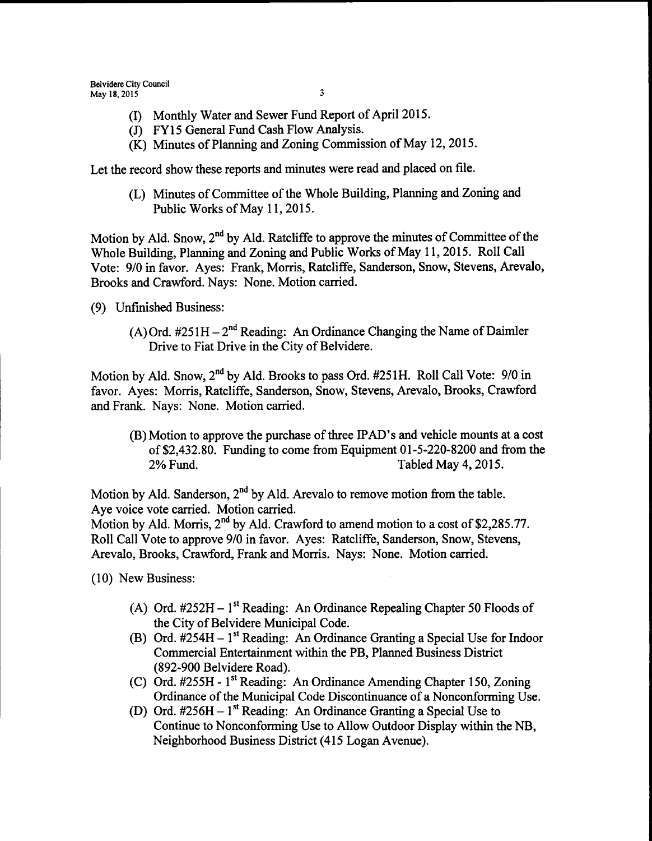- I) Monthly Water and Sewer Fund Report of April 2015.
- (J) FY15 General Fund Cash Flow Analysis.
- (K) Minutes of Planning and Zoning Commission of May 12, 2015.

Let the record show these reports and minutes were read and placed on file.

L) Minutes of Committee of the Whole Building, Planning and Zoning and Public Works of May 11, 2015.

Motion by Ald. Snow,  $2<sup>nd</sup>$  by Ald. Ratcliffe to approve the minutes of Committee of the Whole Building, Planning and Zoning and Public Works of May 11, 2015. Roll Call Vote: 9/0 in favor. Ayes: Frank, Morris, Ratcliffe, Sanderson, Snow, Stevens, Arevalo, Brooks and Crawford. Nays: None. Motion carried.

- 9) Unfinished Business:
	- (A) Ord.  $#251H 2^{nd}$  Reading: An Ordinance Changing the Name of Daimler Drive to Fiat Drive in the City of Belvidere.

Motion by Ald. Snow,  $2^{nd}$  by Ald. Brooks to pass Ord. #251H. Roll Call Vote: 9/0 in favor. Ayes: Morris, Ratcliffe, Sanderson, Snow, Stevens, Arevalo, Brooks, Crawford and Frank. Nays: None. Motion carried.

B) Motion to approve the purchase of three IPAD' <sup>s</sup> and vehicle mounts at <sup>a</sup> cost of \$2,432.80. Funding to come from Equipment  $01-5-220-8200$  and from the 2% Fund. Tabled May 4, 2015.

Motion by Ald. Sanderson,  $2<sup>nd</sup>$  by Ald. Arevalo to remove motion from the table. Aye voice vote carried. Motion carried.

Motion by Ald. Morris, 2<sup>nd</sup> by Ald. Crawford to amend motion to a cost of \$2,285.77. Roll Call Vote to approve 9/0 in favor. Ayes: Ratcliffe, Sanderson, Snow, Stevens, Arevalo, Brooks, Crawford, Frank and Morris. Nays: None. Motion carried.

10) New Business:

- A) Ord.  $\#252H 1$ <sup>st</sup> Reading: An Ordinance Repealing Chapter 50 Floods of the City of Belvidere Municipal Code.
- (B) Ord.  $#254H 1$ <sup>st</sup> Reading: An Ordinance Granting a Special Use for Indoor Commercial Entertainment within the PB, Planned Business District 892- 900 Belvidere Road).
- C) Ord. #255H 1<sup>st</sup> Reading: An Ordinance Amending Chapter 150, Zoning Ordinance of the Municipal Code Discontinuance of a Nonconforming Use.
- (D) Ord.  $\#256H 1^{\text{st}}$  Reading: An Ordinance Granting a Special Use to Continue to Nonconforming Use to Allow Outdoor Display within the NB, Neighborhood Business District( 415 Logan Avenue).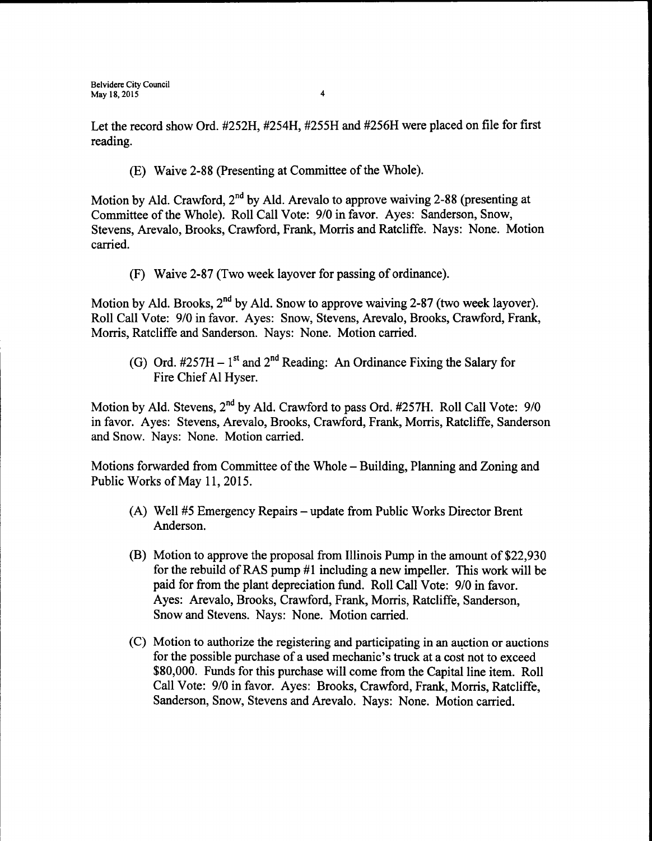Let the record show Ord. #252H, #254H, #255H and #256H were placed on file for first reading.

E) Waive 2- 88 ( Presenting at Committee of the Whole).

Motion by Ald. Crawford, 2<sup>nd</sup> by Ald. Arevalo to approve waiving 2-88 (presenting at Committee of the Whole). Roll Call Vote: 9/0 in favor. Ayes: Sanderson, Snow, Stevens, Arevalo, Brooks, Crawford, Frank, Morris and Ratcliffe. Nays: None. Motion carried.

F) Waive 2- 87 ( Two week layover for passing of ordinance).

Motion by Ald. Brooks, 2<sup>nd</sup> by Ald. Snow to approve waiving 2-87 (two week layover). Roll Call Vote: 9/0 in favor. Ayes: Snow, Stevens, Arevalo, Brooks, Crawford, Frank, Morris, Ratcliffe and Sanderson. Nays: None. Motion carried.

G) Ord.  $\#257H - 1^{st}$  and  $2^{nd}$  Reading: An Ordinance Fixing the Salary for Fire Chief Al Hyser.

Motion by Ald. Stevens, 2<sup>nd</sup> by Ald. Crawford to pass Ord. #257H. Roll Call Vote: 9/0 in favor. Ayes: Stevens, Arevalo, Brooks, Crawford, Frank, Morris, Ratcliffe, Sanderson and Snow. Nays: None. Motion carried.

Motions forwarded from Committee of the Whole – Building, Planning and Zoning and Public Works of May 11, 2015.

- (A) Well #5 Emergency Repairs update from Public Works Director Brent Anderson.
- (B) Motion to approve the proposal from Illinois Pump in the amount of \$22,930 for the rebuild of RAS pump  $#1$  including a new impeller. This work will be paid for from the plant depreciation fund. Roll Call Vote: 9/0 in favor. Ayes: Arevalo, Brooks, Crawford, Frank, Morris, Ratcliffe, Sanderson, Snow and Stevens. Nays: None. Motion carried.
- C) Motion to authorize the registering and participating in an auction or auctions for the possible purchase of a used mechanic's truck at a cost not to exceed 80,000. Funds for this purchase will come from the Capital line item. Roll Call Vote: 9/0 in favor. Ayes: Brooks, Crawford, Frank, Morris, Ratcliffe, Sanderson, Snow, Stevens and Arevalo. Nays: None. Motion carried.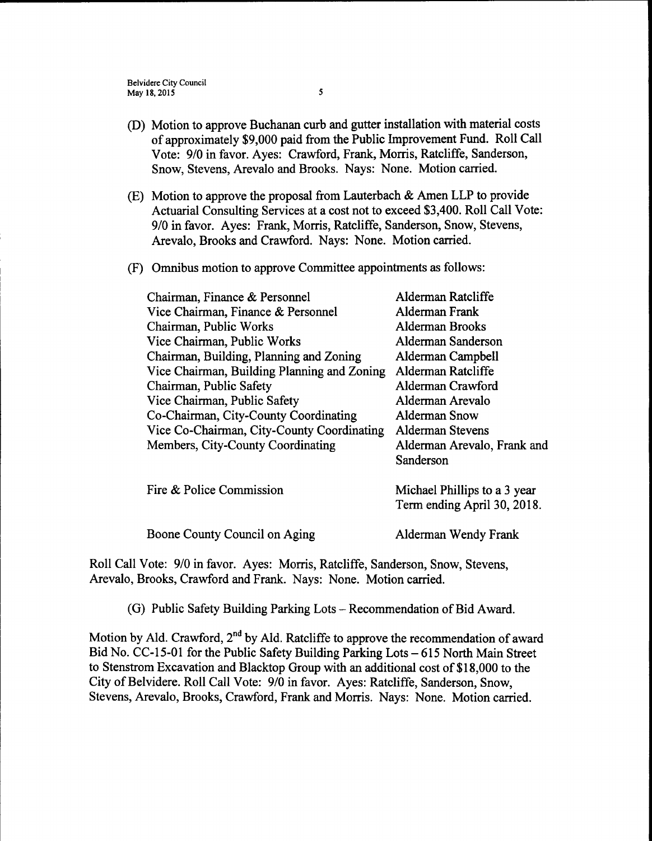- D) Motion to approve Buchanan curb and gutter installation with material costs ofapproximately\$ 9, 000 paid from the Public Improvement Fund. Roll Call Vote: 9/0 in favor. Ayes: Crawford, Frank, Morris, Ratcliffe, Sanderson, Snow, Stevens, Arevalo and Brooks. Nays: None. Motion carried.
- (E) Motion to approve the proposal from Lauterbach  $&$  Amen LLP to provide Actuarial Consulting Services at a cost not to exceed \$3,400. Roll Call Vote: 9/0 in favor. Ayes: Frank, Morris, Ratcliffe, Sanderson, Snow, Stevens, Arevalo, Brooks and Crawford. Nays: None. Motion carried.
- F) Omnibus motion to approve Committee appointments as follows:

| Chairman, Finance & Personnel               | Alderman Ratcliffe           |
|---------------------------------------------|------------------------------|
| Vice Chairman, Finance & Personnel          | Alderman Frank               |
| Chairman, Public Works                      | <b>Alderman Brooks</b>       |
| Vice Chairman, Public Works                 | Alderman Sanderson           |
| Chairman, Building, Planning and Zoning     | Alderman Campbell            |
| Vice Chairman, Building Planning and Zoning | Alderman Ratcliffe           |
| Chairman, Public Safety                     | Alderman Crawford            |
| Vice Chairman, Public Safety                | Alderman Arevalo             |
| Co-Chairman, City-County Coordinating       | Alderman Snow                |
| Vice Co-Chairman, City-County Coordinating  | <b>Alderman Stevens</b>      |
| Members, City-County Coordinating           | Alderman Arevalo, Frank and  |
|                                             | Sanderson                    |
|                                             |                              |
| Fire & Police Commission                    | Michael Phillips to a 3 year |
|                                             | Term ending April 30, 2018.  |

Boone County Council on Aging Alderman Wendy Frank

Roll Call Vote: 9/0 in favor. Ayes: Morris, Ratcliffe, Sanderson, Snow, Stevens, Arevalo, Brooks, Crawford and Frank. Nays: None. Motion carried.

(G) Public Safety Building Parking Lots – Recommendation of Bid Award.

Motion by Ald. Crawford,  $2<sup>nd</sup>$  by Ald. Ratcliffe to approve the recommendation of award Bid No. CC-15-01 for the Public Safety Building Parking Lots – 615 North Main Street to Stenstrom Excavation and Blacktop Group with an additional cost of \$18,000 to the City of Belvidere. Roll Call Vote: 9/0 in favor. Ayes: Ratcliffe, Sanderson, Snow, Stevens, Arevalo, Brooks, Crawford, Frank and Morris. Nays: None. Motion carried.